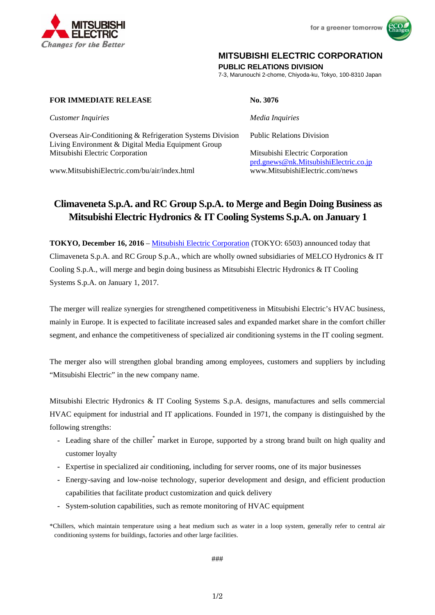

for a greener tomorrow



## **MITSUBISHI ELECTRIC CORPORATION**

**PUBLIC RELATIONS DIVISION** 

7-3, Marunouchi 2-chome, Chiyoda-ku, Tokyo, 100-8310 Japan

### **FOR IMMEDIATE RELEASE No. 3076**

*Customer Inquiries* and *Media Inquiries Media Inquiries* 

Overseas Air-Conditioning & Refrigeration Systems Division Public Relations Division Living Environment & Digital Media Equipment Group Mitsubishi Electric Corporation Mitsubishi Electric Corporation

www.MitsubishiElectric.com/bu/air/index.html www.MitsubishiElectric.com/news

prd.gnews@nk.MitsubishiElectric.co.jp

# **Climaveneta S.p.A. and RC Group S.p.A. to Merge and Begin Doing Business as Mitsubishi Electric Hydronics & IT Cooling Systems S.p.A. on January 1**

**TOKYO, December 16, 2016** – Mitsubishi Electric Corporation (TOKYO: 6503) announced today that Climaveneta S.p.A. and RC Group S.p.A., which are wholly owned subsidiaries of MELCO Hydronics & IT Cooling S.p.A., will merge and begin doing business as Mitsubishi Electric Hydronics & IT Cooling Systems S.p.A. on January 1, 2017.

The merger will realize synergies for strengthened competitiveness in Mitsubishi Electric's HVAC business, mainly in Europe. It is expected to facilitate increased sales and expanded market share in the comfort chiller segment, and enhance the competitiveness of specialized air conditioning systems in the IT cooling segment.

The merger also will strengthen global branding among employees, customers and suppliers by including "Mitsubishi Electric" in the new company name.

Mitsubishi Electric Hydronics & IT Cooling Systems S.p.A. designs, manufactures and sells commercial HVAC equipment for industrial and IT applications. Founded in 1971, the company is distinguished by the following strengths:

- Leading share of the chiller<sup>\*</sup> market in Europe, supported by a strong brand built on high quality and customer loyalty
- **-** Expertise in specialized air conditioning, including for server rooms, one of its major businesses
- **-** Energy-saving and low-noise technology, superior development and design, and efficient production capabilities that facilitate product customization and quick delivery
- **-** System-solution capabilities, such as remote monitoring of HVAC equipment

###

1/2

<sup>\*</sup>Chillers, which maintain temperature using a heat medium such as water in a loop system, generally refer to central air conditioning systems for buildings, factories and other large facilities.